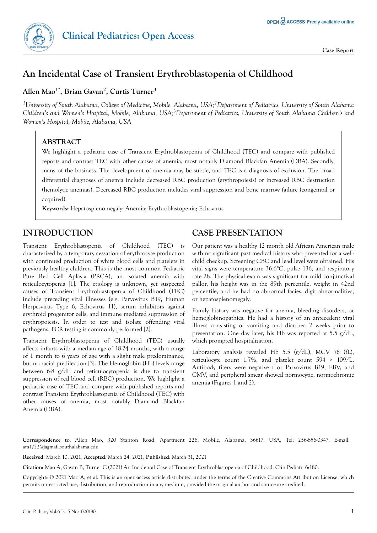

**Case Report**

# **An Incidental Case of Transient Erythroblastopenia of Childhood**

**Allen Mao1\*, Brian Gavan<sup>2</sup> , Curtis Turner<sup>3</sup>**

*<sup>1</sup>University of South Alabama, College of Medicine, Mobile, Alabama, USA;2Department of Pediatrics, University of South Alabama Children's and Women's Hospital, Mobile, Alabama, USA;3Department of Pediatrics, University of South Alabama Children's and Women's Hospital, Mobile, Alabama, USA*

#### **ABSTRACT**

We highlight a pediatric case of Transient Erythroblastopenia of Childhood (TEC) and compare with published reports and contrast TEC with other causes of anemia, most notably Diamond Blackfan Anemia (DBA). Secondly, many of the business. The development of anemia may be subtle, and TEC is a diagnosis of exclusion. The broad differential diagnoses of anemia include decreased RBC production (erythropoiesis) or increased RBC destruction (hemolytic anemias). Decreased RBC production includes viral suppression and bone marrow failure (congenital or acquired).

**Keywords:** Hepatosplenomegaly; Anemia; Erythroblastopenia; Echovirus

### **INTRODUCTION**

Transient Erythroblastopenia of Childhood (TEC) is characterized by a temporary cessation of erythrocyte production with continued production of white blood cells and platelets in previously healthy children. This is the most common Pediatric Pure Red Cell Aplasia (PRCA), an isolated anemia with reticulocytopenia [1]. The etiology is unknown, yet suspected causes of Transient Erythroblastopenia of Childhood (TEC) include preceding viral illnesses (e.g. Parvovirus B19, Human Herpesvirus Type 6, Echovirus 11), serum inhibitors against erythroid progenitor cells, and immune mediated suppression of erythropoiesis. In order to test and isolate offending viral pathogens, PCR testing is commonly performed [2].

Transient Erythroblastopenia of Childhood (TEC) usually affects infants with a median age of 18-24 months, with a range of 1 month to 6 years of age with a slight male predominance, but no racial predilection [3]. The Hemoglobin (Hb) levels range between 6-8 g/dL and reticulocytopenia is due to transient suppression of red blood cell (RBC) production. We highlight a pediatric case of TEC and compare with published reports and contrast Transient Erythroblastopenia of Childhood (TEC) with other causes of anemia, most notably Diamond Blackfan Anemia (DBA).

### **CASE PRESENTATION**

Our patient was a healthy 12 month old African American male with no significant past medical history who presented for a wellchild checkup. Screening CBC and lead level were obtained. His vital signs were temperature 36.6°C, pulse 136, and respiratory rate 28. The physical exam was significant for mild conjunctival pallor, his height was in the 89th percentile, weight in 42nd percentile, and he had no abnormal facies, digit abnormalities, or hepatosplenomegaly.

Family history was negative for anemia, bleeding disorders, or hemoglobinopathies. He had a history of an antecedent viral illness consisting of vomiting and diarrhea 2 weeks prior to presentation. One day later, his Hb was reported at 5.5 g/dL, which prompted hospitalization.

Laboratory analysis revealed Hb 5.5 (g/dL), MCV 76 (fL), reticulocyte count 1.7%, and platelet count 594 × 109/L. Antibody titers were negative f or Parvovirus B19, EBV, and CMV, and peripheral smear showed normocytic, normochromic anemia (Figures 1 and 2).

**Correspondence to**: Allen Mao, 320 Stanton Road, Apartment 226, Mobile, Alabama, 36617, USA, Tel: 256-856-0347; E-mail: [am1722@jagmail.southalabama.edu](mailto:am1722@jagmail.southalabama.edu)

**Received**: March 10, 2021; **Accepted**: March 24, 2021; **Published**: March 31, 2021

**Citation:** Mao A, Gavan B, Turner C (2021) An Incidental Case of Transient Erythroblastopenia of Childhood. Clin Pediatr. 6:180.

**Copyright:** © 2021 Mao A, et al. This is an open-access article distributed under the terms of the Creative Commons Attribution License, which permits unrestricted use, distribution, and reproduction in any medium, provided the original author and source are credited.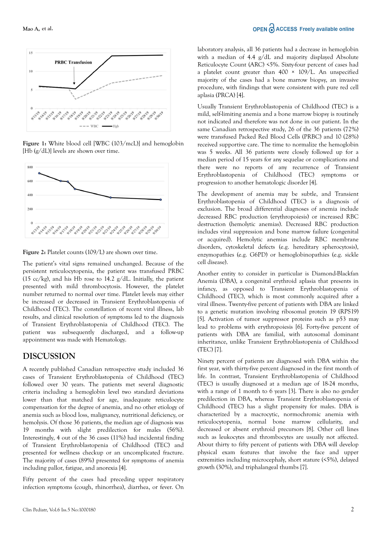

**Figure 1:** White blood cell [WBC (103/mcL)] and hemoglobin [Hb (g/dL)] levels are shown over time.





The patient's vital signs remained unchanged. Because of the persistent reticulocytopenia, the patient was transfused PRBC (15 cc/kg), and his Hb rose to 14.2 g/dL. Initially, the patient presented with mild thrombocytosis. However, the platelet number returned to normal over time. Platelet levels may either be increased or decreased in Transient Erythroblastopenia of Childhood (TEC). The constellation of recent viral illness, lab results, and clinical resolution of symptoms led to the diagnosis of Transient Erythroblastopenia of Childhood (TEC). The patient was subsequently discharged, and a follow-up appointment was made with Hematology.

#### **DISCUSSION**

A recently published Canadian retrospective study included 36 cases of Transient Erythroblastopenia of Childhood (TEC) followed over 30 years. The patients met several diagnostic criteria including a hemoglobin level two standard deviations lower than that matched for age, inadequate reticulocyte compensation for the degree of anemia, and no other etiology of anemia such as blood loss, malignancy, nutritional deficiency, or hemolysis. Of those 36 patients, the median age of diagnosis was 19 months with slight predilection for males (56%). Interestingly, 4 out of the 36 cases (11%) had incidental finding of Transient Erythroblastopenia of Childhood (TEC) and presented for wellness checkup or an uncomplicated fracture. The majority of cases (89%) presented for symptoms of anemia including pallor, fatigue, and anorexia [4].

Fifty percent of the cases had preceding upper respiratory infection symptoms (cough, rhinorrhea), diarrhea, or fever. On laboratory analysis, all 36 patients had a decrease in hemoglobin with a median of 4.4 g/dL and majority displayed Absolute Reticulocyte Count (ARC) <5%. Sixty-four percent of cases had a platelet count greater than  $400 \times 109/L$ . An unspecified majority of the cases had a bone marrow biopsy, an invasive procedure, with findings that were consistent with pure red cell aplasia (PRCA) [4].

Usually Transient Erythroblastopenia of Childhood (TEC) is a mild, self-limiting anemia and a bone marrow biopsy is routinely not indicated and therefore was not done in our patient. In the same Canadian retrospective study, 26 of the 36 patients (72%) were transfused Packed Red Blood Cells (PRBC) and 10 (28%) received supportive care. The time to normalize the hemoglobin was 5 weeks. All 36 patients were closely followed up for a median period of 15 years for any sequelae or complications and there were no reports of any recurrence of Transient Erythroblastopenia of Childhood (TEC) symptoms or progression to another hematologic disorder [4].

The development of anemia may be subtle, and Transient Erythroblastopenia of Childhood (TEC) is a diagnosis of exclusion. The broad differential diagnoses of anemia include decreased RBC production (erythropoiesis) or increased RBC destruction (hemolytic anemias). Decreased RBC production includes viral suppression and bone marrow failure (congenital or acquired). Hemolytic anemias include RBC membrane disorders, cytoskeletal defects (e.g. hereditary spherocytosis), enzymopathies (e.g. G6PD) or hemoglobinopathies (e.g. sickle cell disease).

Another entity to consider in particular is Diamond-Blackfan Anemia (DBA), a congenital erythroid aplasia that presents in infancy, as opposed to Transient Erythroblastopenia of Childhood (TEC), which is most commonly acquired after a viral illness. Twenty-five percent of patients with DBA are linked to a genetic mutation involving ribosomal protein 19 (RPS19) [5]. Activation of tumor suppressor proteins such as p53 may lead to problems with erythropoiesis [6]. Forty-five percent of patients with DBA are familial, with autosomal dominant inheritance, unlike Transient Erythroblastopenia of Childhood (TEC) [7].

Ninety percent of patients are diagnosed with DBA within the first year, with thirty-five percent diagnosed in the first month of life. In contrast, Transient Erythroblastopenia of Childhood (TEC) is usually diagnosed at a median age of 18-24 months, with a range of 1 month to 6 years [3]. There is also no gender predilection in DBA, whereas Transient Erythroblastopenia of Childhood (TEC) has a slight propensity for males. DBA is characterized by a macrocytic, normochromic anemia with reticulocytopenia, normal bone marrow cellularity, and decreased or absent erythroid precursors [8]. Other cell lines such as leukocytes and thrombocytes are usually not affected. About thirty to fifty percent of patients with DBA will develop physical exam features that involve the face and upper extremities including microcephaly, short stature (<5%), delayed growth (30%), and triphalangeal thumbs [7].